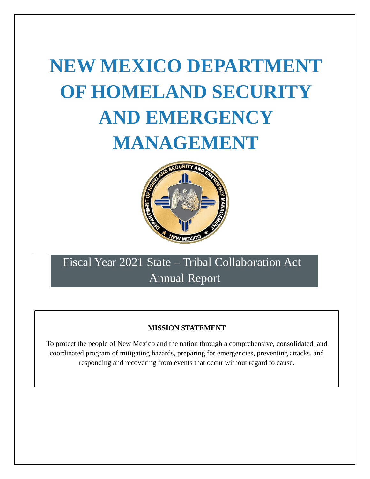# **NEW MEXICO DEPARTMENT OF HOMELAND SECURITY AND EMERGENCY MANAGEMENT**



# Fiscal Year 2021 State – Tribal Collaboration Act Annual Report

# **MISSION STATEMENT**

To protect the people of New Mexico and the nation through a comprehensive, consolidated, and coordinated program of mitigating hazards, preparing for emergencies, preventing attacks, and responding and recovering from events that occur without regard to cause.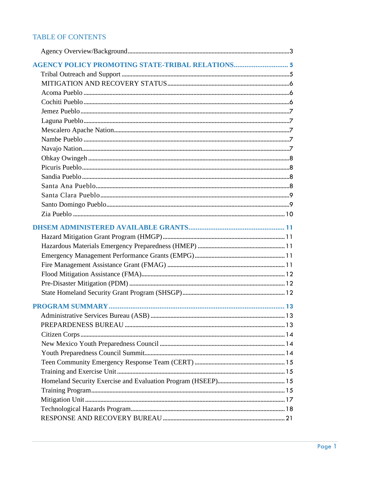# TABLE OF CONTENTS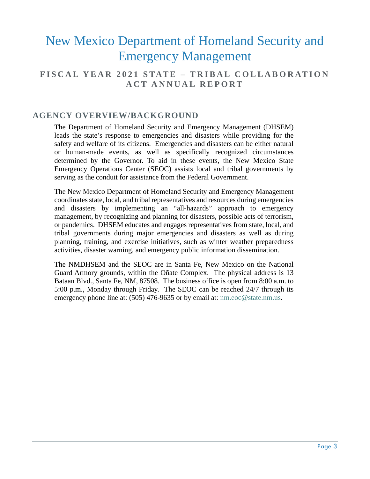# **FISCAL YEAR 2021 STATE – TRIBAL COLLABORATION ACT ANNUAL REPORT**

# <span id="page-3-0"></span>**AGENCY OVERVIEW/BACKGROUND**

The Department of Homeland Security and Emergency Management (DHSEM) leads the state's response to emergencies and disasters while providing for the safety and welfare of its citizens. Emergencies and disasters can be either natural or human-made events, as well as specifically recognized circumstances determined by the Governor. To aid in these events, the New Mexico State Emergency Operations Center (SEOC) assists local and tribal governments by serving as the conduit for assistance from the Federal Government.

The New Mexico Department of Homeland Security and Emergency Management coordinatesstate, local, and tribal representatives and resources during emergencies and disasters by implementing an "all-hazards" approach to emergency management, by recognizing and planning for disasters, possible acts of terrorism, or pandemics. DHSEM educates and engages representatives from state, local, and tribal governments during major emergencies and disasters as well as during planning, training, and exercise initiatives, such as winter weather preparedness activities, disaster warning, and emergency public information dissemination.

The NMDHSEM and the SEOC are in Santa Fe, New Mexico on the National Guard Armory grounds, within the Oñate Complex. The physical address is 13 Bataan Blvd., Santa Fe, NM, 87508. The business office is open from 8:00 a.m. to 5:00 p.m., Monday through Friday. The SEOC can be reached 24/7 through its emergency phone line at:  $(505)$  476-9635 or by email at: [nm.eoc@state.nm.us.](mailto:nm.eoc@state.nm.us)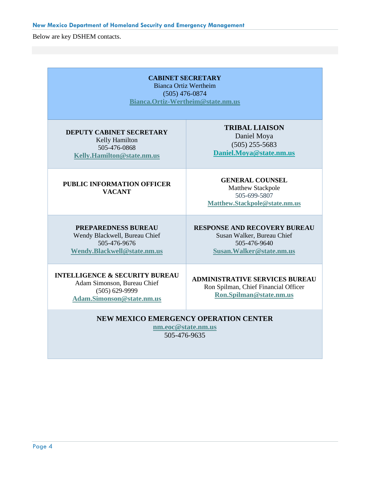Below are key DSHEM contacts.

| <b>CABINET SECRETARY</b><br><b>Bianca Ortiz Wertheim</b><br>$(505)$ 476-0874<br>Bianca.Ortiz-Wertheim@state.nm.us           |                                                                                                                |  |
|-----------------------------------------------------------------------------------------------------------------------------|----------------------------------------------------------------------------------------------------------------|--|
| <b>DEPUTY CABINET SECRETARY</b><br>Kelly Hamilton<br>505-476-0868<br>Kelly.Hamilton@state.nm.us                             | <b>TRIBAL LIAISON</b><br>Daniel Moya<br>$(505)$ 255-5683<br>Daniel.Moya@state.nm.us                            |  |
| <b>PUBLIC INFORMATION OFFICER</b><br><b>VACANT</b>                                                                          | <b>GENERAL COUNSEL</b><br>Matthew Stackpole<br>505-699-5807<br>Matthew.Stackpole@state.nm.us                   |  |
| <b>PREPAREDNESS BUREAU</b><br>Wendy Blackwell, Bureau Chief<br>505-476-9676<br>Wendy.Blackwell@state.nm.us                  | <b>RESPONSE AND RECOVERY BUREAU</b><br>Susan Walker, Bureau Chief<br>505-476-9640<br>Susan. Walker@state.nm.us |  |
| <b>INTELLIGENCE &amp; SECURITY BUREAU</b><br>Adam Simonson, Bureau Chief<br>$(505) 629 - 9999$<br>Adam.Simonson@state.nm.us | <b>ADMINISTRATIVE SERVICES BUREAU</b><br>Ron Spilman, Chief Financial Officer<br>Ron.Spilman@state.nm.us       |  |
| <b>NEW MEXICO EMERGENCY OPERATION CENTER</b><br>nm.eoc@state.nm.us<br>505-476-9635                                          |                                                                                                                |  |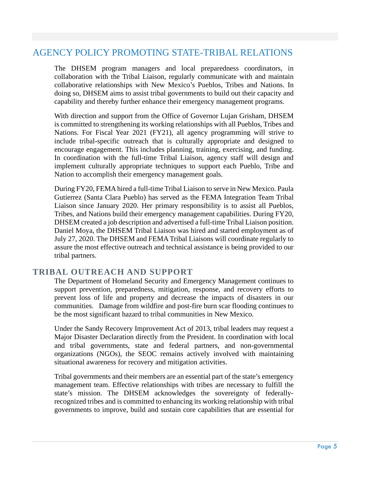# <span id="page-5-0"></span>AGENCY POLICY PROMOTING STATE-TRIBAL RELATIONS

The DHSEM program managers and local preparedness coordinators, in collaboration with the Tribal Liaison, regularly communicate with and maintain collaborative relationships with New Mexico's Pueblos, Tribes and Nations. In doing so, DHSEM aims to assist tribal governments to build out their capacity and capability and thereby further enhance their emergency management programs.

With direction and support from the Office of Governor Lujan Grisham, DHSEM is committed to strengthening its working relationships with all Pueblos, Tribes and Nations. For Fiscal Year 2021 (FY21), all agency programming will strive to include tribal-specific outreach that is culturally appropriate and designed to encourage engagement. This includes planning, training, exercising, and funding. In coordination with the full-time Tribal Liaison, agency staff will design and implement culturally appropriate techniques to support each Pueblo, Tribe and Nation to accomplish their emergency management goals.

During FY20, FEMA hired a full-time Tribal Liaison to serve in New Mexico. Paula Gutierrez (Santa Clara Pueblo) has served as the FEMA Integration Team Tribal Liaison since January 2020. Her primary responsibility is to assist all Pueblos, Tribes, and Nations build their emergency management capabilities. During FY20, DHSEM created a job description and advertised a full-time Tribal Liaison position. Daniel Moya, the DHSEM Tribal Liaison was hired and started employment as of July 27, 2020. The DHSEM and FEMA Tribal Liaisons will coordinate regularly to assure the most effective outreach and technical assistance is being provided to our tribal partners.

# <span id="page-5-1"></span>**TRIBAL OUTREACH AND SUPPORT**

The Department of Homeland Security and Emergency Management continues to support prevention, preparedness, mitigation, response, and recovery efforts to prevent loss of life and property and decrease the impacts of disasters in our communities. Damage from wildfire and post-fire burn scar flooding continues to be the most significant hazard to tribal communities in New Mexico.

Under the Sandy Recovery Improvement Act of 2013, tribal leaders may request a Major Disaster Declaration directly from the President. In coordination with local and tribal governments, state and federal partners, and non-governmental organizations (NGOs), the SEOC remains actively involved with maintaining situational awareness for recovery and mitigation activities.

Tribal governments and their members are an essential part of the state's emergency management team. Effective relationships with tribes are necessary to fulfill the state's mission. The DHSEM acknowledges the sovereignty of federallyrecognized tribes and is committed to enhancing its working relationship with tribal governments to improve, build and sustain core capabilities that are essential for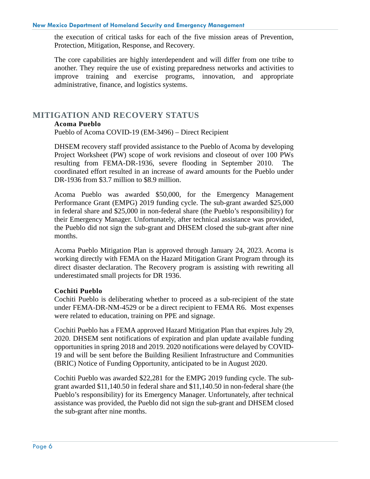the execution of critical tasks for each of the five mission areas of Prevention, Protection, Mitigation, Response, and Recovery.

The core capabilities are highly interdependent and will differ from one tribe to another. They require the use of existing preparedness networks and activities to improve training and exercise programs, innovation, and appropriate administrative, finance, and logistics systems.

# <span id="page-6-1"></span><span id="page-6-0"></span>**MITIGATION AND RECOVERY STATUS**

#### **Acoma Pueblo**

Pueblo of Acoma COVID-19 (EM-3496) – Direct Recipient

DHSEM recovery staff provided assistance to the Pueblo of Acoma by developing Project Worksheet (PW) scope of work revisions and closeout of over 100 PWs resulting from FEMA-DR-1936, severe flooding in September 2010. The coordinated effort resulted in an increase of award amounts for the Pueblo under DR-1936 from \$3.7 million to \$8.9 million.

Acoma Pueblo was awarded \$50,000, for the Emergency Management Performance Grant (EMPG) 2019 funding cycle. The sub-grant awarded \$25,000 in federal share and \$25,000 in non-federal share (the Pueblo's responsibility) for their Emergency Manager. Unfortunately, after technical assistance was provided, the Pueblo did not sign the sub-grant and DHSEM closed the sub-grant after nine months.

Acoma Pueblo Mitigation Plan is approved through January 24, 2023. Acoma is working directly with FEMA on the Hazard Mitigation Grant Program through its direct disaster declaration. The Recovery program is assisting with rewriting all underestimated small projects for DR 1936.

#### <span id="page-6-2"></span>**Cochiti Pueblo**

Cochiti Pueblo is deliberating whether to proceed as a sub-recipient of the state under FEMA-DR-NM-4529 or be a direct recipient to FEMA R6. Most expenses were related to education, training on PPE and signage.

Cochiti Pueblo has a FEMA approved Hazard Mitigation Plan that expires July 29, 2020. DHSEM sent notifications of expiration and plan update available funding opportunities in spring 2018 and 2019. 2020 notifications were delayed by COVID-19 and will be sent before the Building Resilient Infrastructure and Communities (BRIC) Notice of Funding Opportunity, anticipated to be in August 2020.

Cochiti Pueblo was awarded \$22,281 for the EMPG 2019 funding cycle. The subgrant awarded \$11,140.50 in federal share and \$11,140.50 in non-federal share (the Pueblo's responsibility) for its Emergency Manager. Unfortunately, after technical assistance was provided, the Pueblo did not sign the sub-grant and DHSEM closed the sub-grant after nine months.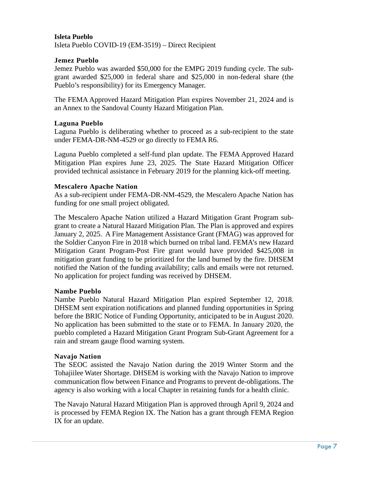#### **Isleta Pueblo**

Isleta Pueblo COVID-19 (EM-3519) – Direct Recipient

#### <span id="page-7-0"></span>**Jemez Pueblo**

Jemez Pueblo was awarded \$50,000 for the EMPG 2019 funding cycle. The subgrant awarded \$25,000 in federal share and \$25,000 in non-federal share (the Pueblo's responsibility) for its Emergency Manager.

The FEMA Approved Hazard Mitigation Plan expires November 21, 2024 and is an Annex to the Sandoval County Hazard Mitigation Plan.

#### <span id="page-7-1"></span>**Laguna Pueblo**

Laguna Pueblo is deliberating whether to proceed as a sub-recipient to the state under FEMA-DR-NM-4529 or go directly to FEMA R6.

Laguna Pueblo completed a self-fund plan update. The FEMA Approved Hazard Mitigation Plan expires June 23, 2025. The State Hazard Mitigation Officer provided technical assistance in February 2019 for the planning kick-off meeting.

#### <span id="page-7-2"></span>**Mescalero Apache Nation**

As a sub-recipient under FEMA-DR-NM-4529, the Mescalero Apache Nation has funding for one small project obligated.

The Mescalero Apache Nation utilized a Hazard Mitigation Grant Program subgrant to create a Natural Hazard Mitigation Plan. The Plan is approved and expires January 2, 2025. A Fire Management Assistance Grant (FMAG) was approved for the Soldier Canyon Fire in 2018 which burned on tribal land. FEMA's new Hazard Mitigation Grant Program-Post Fire grant would have provided \$425,008 in mitigation grant funding to be prioritized for the land burned by the fire. DHSEM notified the Nation of the funding availability; calls and emails were not returned. No application for project funding was received by DHSEM.

#### <span id="page-7-3"></span>**Nambe Pueblo**

Nambe Pueblo Natural Hazard Mitigation Plan expired September 12, 2018. DHSEM sent expiration notifications and planned funding opportunities in Spring before the BRIC Notice of Funding Opportunity, anticipated to be in August 2020. No application has been submitted to the state or to FEMA. In January 2020, the pueblo completed a Hazard Mitigation Grant Program Sub-Grant Agreement for a rain and stream gauge flood warning system.

#### <span id="page-7-4"></span>**Navajo Nation**

The SEOC assisted the Navajo Nation during the 2019 Winter Storm and the Tohajiilee Water Shortage. DHSEM is working with the Navajo Nation to improve communication flow between Finance and Programs to prevent de-obligations. The agency is also working with a local Chapter in retaining funds for a health clinic.

The Navajo Natural Hazard Mitigation Plan is approved through April 9, 2024 and is processed by FEMA Region IX. The Nation has a grant through FEMA Region IX for an update.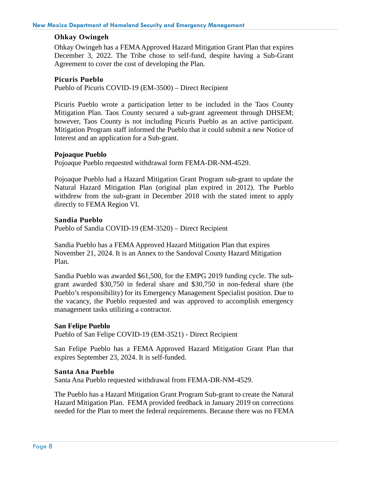#### <span id="page-8-0"></span>**Ohkay Owingeh**

Ohkay Owingeh has a FEMA Approved Hazard Mitigation Grant Plan that expires December 3, 2022. The Tribe chose to self-fund, despite having a Sub-Grant Agreement to cover the cost of developing the Plan.

#### <span id="page-8-1"></span>**Picuris Pueblo**

Pueblo of Picuris COVID-19 (EM-3500) – Direct Recipient

Picuris Pueblo wrote a participation letter to be included in the Taos County Mitigation Plan. Taos County secured a sub-grant agreement through DHSEM; however, Taos County is not including Picuris Pueblo as an active participant. Mitigation Program staff informed the Pueblo that it could submit a new Notice of Interest and an application for a Sub-grant.

#### **Pojoaque Pueblo**

Pojoaque Pueblo requested withdrawal form FEMA-DR-NM-4529.

Pojoaque Pueblo had a Hazard Mitigation Grant Program sub-grant to update the Natural Hazard Mitigation Plan (original plan expired in 2012). The Pueblo withdrew from the sub-grant in December 2018 with the stated intent to apply directly to FEMA Region VI.

#### <span id="page-8-2"></span>**Sandia Pueblo**

Pueblo of Sandia COVID-19 (EM-3520) – Direct Recipient

Sandia Pueblo has a FEMA Approved Hazard Mitigation Plan that expires November 21, 2024. It is an Annex to the Sandoval County Hazard Mitigation Plan.

Sandia Pueblo was awarded \$61,500, for the EMPG 2019 funding cycle. The subgrant awarded \$30,750 in federal share and \$30,750 in non-federal share (the Pueblo's responsibility) for its Emergency Management Specialist position. Due to the vacancy, the Pueblo requested and was approved to accomplish emergency management tasks utilizing a contractor.

#### **San Felipe Pueblo**

Pueblo of San Felipe COVID-19 (EM-3521) - Direct Recipient

San Felipe Pueblo has a FEMA Approved Hazard Mitigation Grant Plan that expires September 23, 2024. It is self-funded.

#### <span id="page-8-3"></span>**Santa Ana Pueblo**

Santa Ana Pueblo requested withdrawal from FEMA-DR-NM-4529.

The Pueblo has a Hazard Mitigation Grant Program Sub-grant to create the Natural Hazard Mitigation Plan. FEMA provided feedback in January 2019 on corrections needed for the Plan to meet the federal requirements. Because there was no FEMA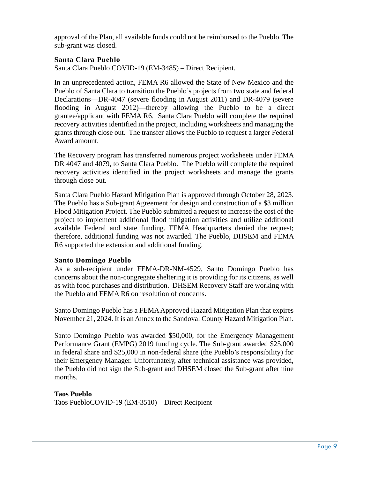approval of the Plan, all available funds could not be reimbursed to the Pueblo. The sub-grant was closed.

#### <span id="page-9-0"></span>**Santa Clara Pueblo**

Santa Clara Pueblo COVID-19 (EM-3485) – Direct Recipient.

In an unprecedented action, FEMA R6 allowed the State of New Mexico and the Pueblo of Santa Clara to transition the Pueblo's projects from two state and federal Declarations—DR-4047 (severe flooding in August 2011) and DR-4079 (severe flooding in August 2012)—thereby allowing the Pueblo to be a direct grantee/applicant with FEMA R6. Santa Clara Pueblo will complete the required recovery activities identified in the project, including worksheets and managing the grants through close out. The transfer allows the Pueblo to request a larger Federal Award amount.

The Recovery program has transferred numerous project worksheets under FEMA DR 4047 and 4079, to Santa Clara Pueblo. The Pueblo will complete the required recovery activities identified in the project worksheets and manage the grants through close out.

Santa Clara Pueblo Hazard Mitigation Plan is approved through October 28, 2023. The Pueblo has a Sub-grant Agreement for design and construction of a \$3 million Flood Mitigation Project. The Pueblo submitted a request to increase the cost of the project to implement additional flood mitigation activities and utilize additional available Federal and state funding. FEMA Headquarters denied the request; therefore, additional funding was not awarded. The Pueblo, DHSEM and FEMA R6 supported the extension and additional funding.

#### <span id="page-9-1"></span>**Santo Domingo Pueblo**

As a sub-recipient under FEMA-DR-NM-4529, Santo Domingo Pueblo has concerns about the non-congregate sheltering it is providing for its citizens, as well as with food purchases and distribution. DHSEM Recovery Staff are working with the Pueblo and FEMA R6 on resolution of concerns.

Santo Domingo Pueblo has a FEMA Approved Hazard Mitigation Plan that expires November 21, 2024. It is an Annex to the Sandoval County Hazard Mitigation Plan.

Santo Domingo Pueblo was awarded \$50,000, for the Emergency Management Performance Grant (EMPG) 2019 funding cycle. The Sub-grant awarded \$25,000 in federal share and \$25,000 in non-federal share (the Pueblo's responsibility) for their Emergency Manager. Unfortunately, after technical assistance was provided, the Pueblo did not sign the Sub-grant and DHSEM closed the Sub-grant after nine months.

#### **Taos Pueblo**

Taos PuebloCOVID-19 (EM-3510) – Direct Recipient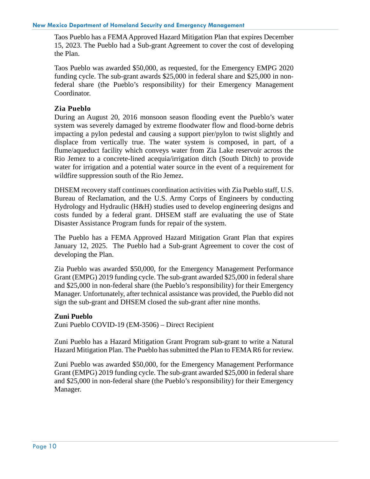Taos Pueblo has a FEMA Approved Hazard Mitigation Plan that expires December 15, 2023. The Pueblo had a Sub-grant Agreement to cover the cost of developing the Plan.

Taos Pueblo was awarded \$50,000, as requested, for the Emergency EMPG 2020 funding cycle. The sub-grant awards \$25,000 in federal share and \$25,000 in nonfederal share (the Pueblo's responsibility) for their Emergency Management Coordinator.

#### <span id="page-10-0"></span>**Zia Pueblo**

During an August 20, 2016 monsoon season flooding event the Pueblo's water system was severely damaged by extreme floodwater flow and flood-borne debris impacting a pylon pedestal and causing a support pier/pylon to twist slightly and displace from vertically true. The water system is composed, in part, of a flume/aqueduct facility which conveys water from Zia Lake reservoir across the Rio Jemez to a concrete-lined acequia/irrigation ditch (South Ditch) to provide water for irrigation and a potential water source in the event of a requirement for wildfire suppression south of the Rio Jemez.

DHSEM recovery staff continues coordination activities with Zia Pueblo staff, U.S. Bureau of Reclamation, and the U.S. Army Corps of Engineers by conducting Hydrology and Hydraulic (H&H) studies used to develop engineering designs and costs funded by a federal grant. DHSEM staff are evaluating the use of State Disaster Assistance Program funds for repair of the system.

The Pueblo has a FEMA Approved Hazard Mitigation Grant Plan that expires January 12, 2025. The Pueblo had a Sub-grant Agreement to cover the cost of developing the Plan.

Zia Pueblo was awarded \$50,000, for the Emergency Management Performance Grant (EMPG) 2019 funding cycle. The sub-grant awarded \$25,000 in federal share and \$25,000 in non-federal share (the Pueblo's responsibility) for their Emergency Manager. Unfortunately, after technical assistance was provided, the Pueblo did not sign the sub-grant and DHSEM closed the sub-grant after nine months.

#### **Zuni Pueblo**

Zuni Pueblo COVID-19 (EM-3506) – Direct Recipient

Zuni Pueblo has a Hazard Mitigation Grant Program sub-grant to write a Natural Hazard Mitigation Plan. The Pueblo has submitted the Plan to FEMA R6 for review.

Zuni Pueblo was awarded \$50,000, for the Emergency Management Performance Grant (EMPG) 2019 funding cycle. The sub-grant awarded \$25,000 in federal share and \$25,000 in non-federal share (the Pueblo's responsibility) for their Emergency Manager.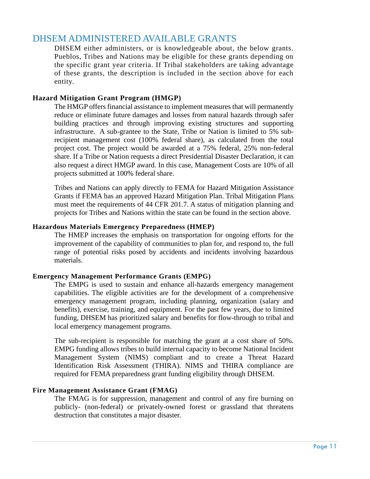# <span id="page-11-1"></span><span id="page-11-0"></span>DHSEM ADMINISTERED AVAILABLE GRANTS

DHSEM either administers, or is knowledgeable about, the below grants. Pueblos, Tribes and Nations may be eligible for these grants depending on the specific grant year criteria. If Tribal stakeholders are taking advantage of these grants, the description is included in the section above for each entity.

#### **Hazard Mitigation Grant Program (HMGP)**

The HMGP offers financial assistance to implement measures that will permanently reduce or eliminate future damages and losses from natural hazards through safer building practices and through improving existing structures and supporting infrastructure. A sub-grantee to the State, Tribe or Nation is limited to 5% subrecipient management cost (100% federal share), as calculated from the total project cost. The project would be awarded at a 75% federal, 25% non-federal share. If a Tribe or Nation requests a direct Presidential Disaster Declaration, it can also request a direct HMGP award. In this case, Management Costs are 10% of all projects submitted at 100% federal share.

Tribes and Nations can apply directly to FEMA for Hazard Mitigation Assistance Grants if FEMA has an approved Hazard Mitigation Plan. Tribal Mitigation Plans must meet the requirements of 44 CFR 201.7. A status of mitigation planning and projects for Tribes and Nations within the state can be found in the section above.

#### <span id="page-11-2"></span>**Hazardous Materials Emergency Preparedness (HMEP)**

The HMEP increases the emphasis on transportation for ongoing efforts for the improvement of the capability of communities to plan for, and respond to, the full range of potential risks posed by accidents and incidents involving hazardous materials.

#### <span id="page-11-3"></span>**Emergency Management Performance Grants (EMPG)**

The EMPG is used to sustain and enhance all-hazards emergency management capabilities. The eligible activities are for the development of a comprehensive emergency management program, including planning, organization (salary and benefits), exercise, training, and equipment. For the past few years, due to limited funding, DHSEM has prioritized salary and benefits for flow-through to tribal and local emergency management programs.

The sub-recipient is responsible for matching the grant at a cost share of 50%. EMPG funding allows tribes to build internal capacity to become National Incident Management System (NIMS) compliant and to create a Threat Hazard Identification Risk Assessment (THIRA). NIMS and THIRA compliance are required for FEMA preparedness grant funding eligibility through DHSEM.

#### <span id="page-11-4"></span>**Fire Management Assistance Grant (FMAG)**

The FMAG is for suppression, management and control of any fire burning on publicly- (non-federal) or privately-owned forest or grassland that threatens destruction that constitutes a major disaster.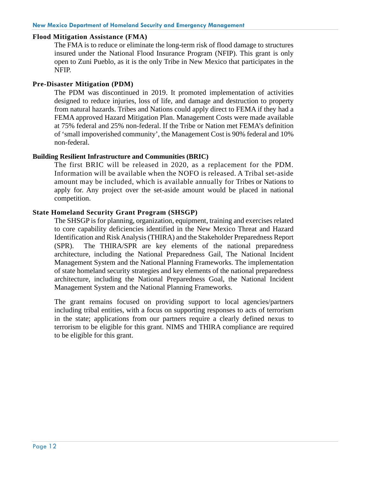#### <span id="page-12-0"></span>**Flood Mitigation Assistance (FMA)**

The FMA is to reduce or eliminate the long-term risk of flood damage to structures insured under the National Flood Insurance Program (NFIP). This grant is only open to Zuni Pueblo, as it is the only Tribe in New Mexico that participates in the NFIP.

#### <span id="page-12-1"></span>**Pre-Disaster Mitigation (PDM)**

The PDM was discontinued in 2019. It promoted implementation of activities designed to reduce injuries, loss of life, and damage and destruction to property from natural hazards. Tribes and Nations could apply direct to FEMA if they had a FEMA approved Hazard Mitigation Plan. Management Costs were made available at 75% federal and 25% non-federal. If the Tribe or Nation met FEMA's definition of 'small impoverished community', the Management Cost is 90% federal and 10% non-federal.

#### **Building Resilient Infrastructure and Communities (BRIC)**

The first BRIC will be released in 2020, as a replacement for the PDM. Information will be available when the NOFO is released. A Tribal set-aside amount may be included, which is available annually for Tribes or Nations to apply for. Any project over the set-aside amount would be placed in national competition.

#### <span id="page-12-2"></span>**State Homeland Security Grant Program (SHSGP)**

The SHSGP is for planning, organization, equipment, training and exercises related to core capability deficiencies identified in the New Mexico Threat and Hazard Identification and Risk Analysis (THIRA) and the Stakeholder Preparedness Report (SPR). The THIRA/SPR are key elements of the national preparedness architecture, including the National Preparedness Gail, The National Incident Management System and the National Planning Frameworks. The implementation of state homeland security strategies and key elements of the national preparedness architecture, including the National Preparedness Goal, the National Incident Management System and the National Planning Frameworks.

The grant remains focused on providing support to local agencies/partners including tribal entities, with a focus on supporting responses to acts of terrorism in the state; applications from our partners require a clearly defined nexus to terrorism to be eligible for this grant. NIMS and THIRA compliance are required to be eligible for this grant.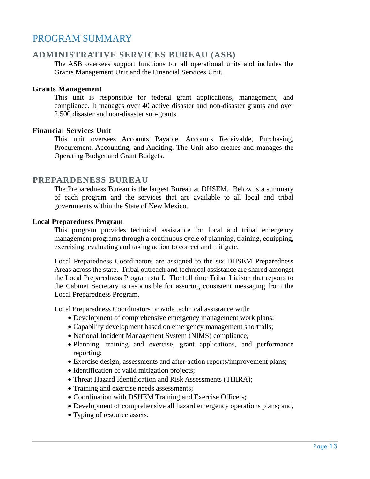# <span id="page-13-0"></span>PROGRAM SUMMARY

#### <span id="page-13-1"></span>**ADMINISTRATIVE SERVICES BUREAU (ASB)**

The ASB oversees support functions for all operational units and includes the Grants Management Unit and the Financial Services Unit.

#### **Grants Management**

This unit is responsible for federal grant applications, management, and compliance. It manages over 40 active disaster and non-disaster grants and over 2,500 disaster and non-disaster sub-grants.

#### **Financial Services Unit**

This unit oversees Accounts Payable, Accounts Receivable, Purchasing, Procurement, Accounting, and Auditing. The Unit also creates and manages the Operating Budget and Grant Budgets.

#### <span id="page-13-2"></span>**PREPARDENESS BUREAU**

The Preparedness Bureau is the largest Bureau at DHSEM. Below is a summary of each program and the services that are available to all local and tribal governments within the State of New Mexico.

#### **Local Preparedness Program**

This program provides technical assistance for local and tribal emergency management programs through a continuous cycle of planning, training, equipping, exercising, evaluating and taking action to correct and mitigate.

Local Preparedness Coordinators are assigned to the six DHSEM Preparedness Areas across the state. Tribal outreach and technical assistance are shared amongst the Local Preparedness Program staff. The full time Tribal Liaison that reports to the Cabinet Secretary is responsible for assuring consistent messaging from the Local Preparedness Program.

Local Preparedness Coordinators provide technical assistance with:

- Development of comprehensive emergency management work plans;
- Capability development based on emergency management shortfalls;
- National Incident Management System (NIMS) compliance;
- Planning, training and exercise, grant applications, and performance reporting;
- Exercise design, assessments and after-action reports/improvement plans;
- Identification of valid mitigation projects;
- Threat Hazard Identification and Risk Assessments (THIRA);
- Training and exercise needs assessments;
- Coordination with DSHEM Training and Exercise Officers;
- Development of comprehensive all hazard emergency operations plans; and,
- Typing of resource assets.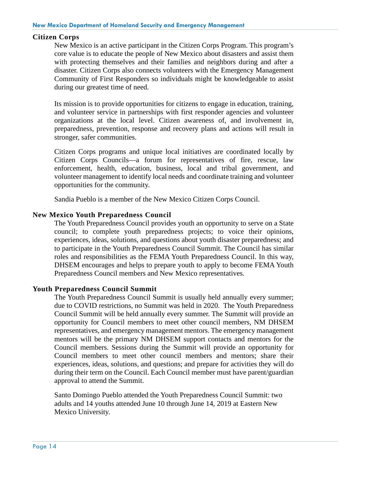#### <span id="page-14-0"></span>**Citizen Corps**

New Mexico is an active participant in the Citizen Corps Program. This program's core value is to educate the people of New Mexico about disasters and assist them with protecting themselves and their families and neighbors during and after a disaster. Citizen Corps also connects volunteers with the Emergency Management Community of First Responders so individuals might be knowledgeable to assist during our greatest time of need.

Its mission is to provide opportunities for citizens to engage in education, training, and volunteer service in partnerships with first responder agencies and volunteer organizations at the local level. Citizen awareness of, and involvement in, preparedness, prevention, response and recovery plans and actions will result in stronger, safer communities.

Citizen Corps programs and unique local initiatives are coordinated locally by Citizen Corps Councils—a forum for representatives of fire, rescue, law enforcement, health, education, business, local and tribal government, and volunteer management to identify local needs and coordinate training and volunteer opportunities for the community.

Sandia Pueblo is a member of the New Mexico Citizen Corps Council.

#### <span id="page-14-1"></span>**New Mexico Youth Preparedness Council**

The Youth Preparedness Council provides youth an opportunity to serve on a State council; to complete youth preparedness projects; to voice their opinions, experiences, ideas, solutions, and questions about youth disaster preparedness; and to participate in the Youth Preparedness Council Summit. The Council has similar roles and responsibilities as the FEMA Youth Preparedness Council. In this way, DHSEM encourages and helps to prepare youth to apply to become FEMA Youth Preparedness Council members and New Mexico representatives.

#### <span id="page-14-2"></span>**Youth Preparedness Council Summit**

The Youth Preparedness Council Summit is usually held annually every summer; due to COVID restrictions, no Summit was held in 2020. The Youth Preparedness Council Summit will be held annually every summer. The Summit will provide an opportunity for Council members to meet other council members, NM DHSEM representatives, and emergency management mentors. The emergency management mentors will be the primary NM DHSEM support contacts and mentors for the Council members. Sessions during the Summit will provide an opportunity for Council members to meet other council members and mentors; share their experiences, ideas, solutions, and questions; and prepare for activities they will do during their term on the Council. Each Council member must have parent/guardian approval to attend the Summit.

Santo Domingo Pueblo attended the Youth Preparedness Council Summit: two adults and 14 youths attended June 10 through June 14, 2019 at Eastern New Mexico University.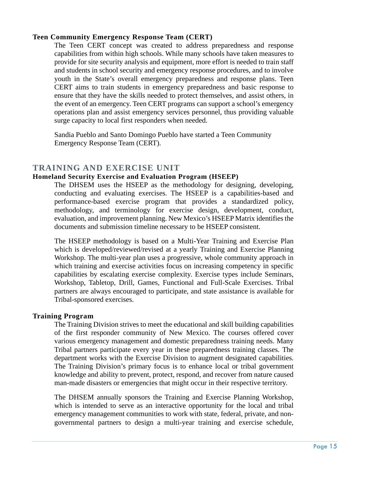#### <span id="page-15-0"></span>**Teen Community Emergency Response Team (CERT)**

The Teen CERT concept was created to address preparedness and response capabilities from within high schools. While many schools have taken measures to provide for site security analysis and equipment, more effort is needed to train staff and students in school security and emergency response procedures, and to involve youth in the State's overall emergency preparedness and response plans. Teen CERT aims to train students in emergency preparedness and basic response to ensure that they have the skills needed to protect themselves, and assist others, in the event of an emergency. Teen CERT programs can support a school's emergency operations plan and assist emergency services personnel, thus providing valuable surge capacity to local first responders when needed.

Sandia Pueblo and Santo Domingo Pueblo have started a Teen Community Emergency Response Team (CERT).

### <span id="page-15-1"></span>**TRAINING AND EXERCISE UNIT**

#### <span id="page-15-2"></span>**Homeland Security Exercise and Evaluation Program (HSEEP)**

The DHSEM uses the HSEEP as the methodology for designing, developing, conducting and evaluating exercises. The HSEEP is a capabilities-based and performance-based exercise program that provides a standardized policy, methodology, and terminology for exercise design, development, conduct, evaluation, and improvement planning. New Mexico's HSEEP Matrix identifies the documents and submission timeline necessary to be HSEEP consistent.

The HSEEP methodology is based on a Multi-Year Training and Exercise Plan which is developed/reviewed/revised at a yearly Training and Exercise Planning Workshop. The multi-year plan uses a progressive, whole community approach in which training and exercise activities focus on increasing competency in specific capabilities by escalating exercise complexity. Exercise types include Seminars, Workshop, Tabletop, Drill, Games, Functional and Full-Scale Exercises. Tribal partners are always encouraged to participate, and state assistance is available for Tribal-sponsored exercises.

#### <span id="page-15-3"></span>**Training Program**

The Training Division strives to meet the educational and skill building capabilities of the first responder community of New Mexico. The courses offered cover various emergency management and domestic preparedness training needs. Many Tribal partners participate every year in these preparedness training classes. The department works with the Exercise Division to augment designated capabilities. The Training Division's primary focus is to enhance local or tribal government knowledge and ability to prevent, protect, respond, and recover from nature caused man-made disasters or emergencies that might occur in their respective territory.

The DHSEM annually sponsors the Training and Exercise Planning Workshop, which is intended to serve as an interactive opportunity for the local and tribal emergency management communities to work with state, federal, private, and nongovernmental partners to design a multi-year training and exercise schedule,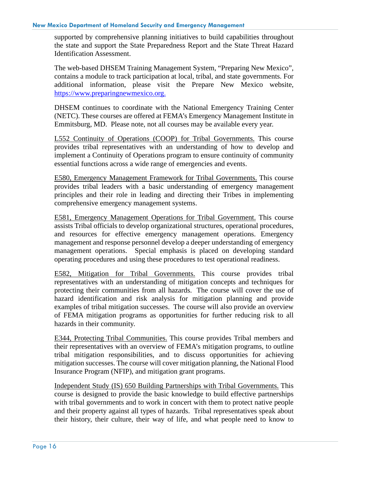supported by comprehensive planning initiatives to build capabilities throughout the state and support the State Preparedness Report and the State Threat Hazard Identification Assessment.

The web-based DHSEM Training Management System, "Preparing New Mexico", contains a module to track participation at local, tribal, and state governments. For additional information, please visit the Prepare New Mexico website, [https://www.preparingnewmexico.org.](https://www.preparingnewmexico.org/)

DHSEM continues to coordinate with the National Emergency Training Center (NETC). These courses are offered at FEMA's Emergency Management Institute in Emmitsburg, MD. Please note, not all courses may be available every year.

L552 Continuity of Operations (COOP) for Tribal Governments. This course provides tribal representatives with an understanding of how to develop and implement a Continuity of Operations program to ensure continuity of community essential functions across a wide range of emergencies and events.

E580, Emergency Management Framework for Tribal Governments. This course provides tribal leaders with a basic understanding of emergency management principles and their role in leading and directing their Tribes in implementing comprehensive emergency management systems.

E581, Emergency Management Operations for Tribal Government. This course assists Tribal officials to develop organizational structures, operational procedures, and resources for effective emergency management operations. Emergency management and response personnel develop a deeper understanding of emergency management operations. Special emphasis is placed on developing standard operating procedures and using these procedures to test operational readiness.

E582, Mitigation for Tribal Governments. This course provides tribal representatives with an understanding of mitigation concepts and techniques for protecting their communities from all hazards. The course will cover the use of hazard identification and risk analysis for mitigation planning and provide examples of tribal mitigation successes. The course will also provide an overview of FEMA mitigation programs as opportunities for further reducing risk to all hazards in their community.

E344, Protecting Tribal Communities. This course provides Tribal members and their representatives with an overview of FEMA's mitigation programs, to outline tribal mitigation responsibilities, and to discuss opportunities for achieving mitigation successes. The course will cover mitigation planning, the National Flood Insurance Program (NFIP), and mitigation grant programs.

Independent Study (IS) 650 Building Partnerships with Tribal Governments. This course is designed to provide the basic knowledge to build effective partnerships with tribal governments and to work in concert with them to protect native people and their property against all types of hazards. Tribal representatives speak about their history, their culture, their way of life, and what people need to know to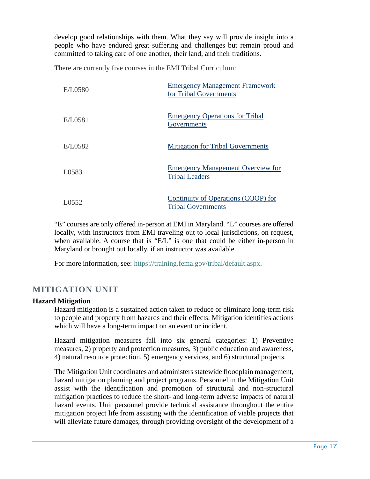develop good relationships with them. What they say will provide insight into a people who have endured great suffering and challenges but remain proud and committed to taking care of one another, their land, and their traditions.

There are currently five courses in the EMI Tribal Curriculum:

| E/L0580 | <b>Emergency Management Framework</b><br>for Tribal Governments   |
|---------|-------------------------------------------------------------------|
| E/L0581 | <b>Emergency Operations for Tribal</b><br>Governments             |
| E/L0582 | <b>Mitigation for Tribal Governments</b>                          |
| L0583   | <b>Emergency Management Overview for</b><br><b>Tribal Leaders</b> |
| L0552   | Continuity of Operations (COOP) for<br><b>Tribal Governments</b>  |

"E" courses are only offered in-person at EMI in Maryland. "L" courses are offered locally, with instructors from EMI traveling out to local jurisdictions, on request, when available. A course that is "E/L" is one that could be either in-person in Maryland or brought out locally, if an instructor was available.

For more information, see: [https://training.fema.gov/tribal/default.aspx.](https://training.fema.gov/tribal/default.aspx)

# <span id="page-17-0"></span>**MITIGATION UNIT**

#### **Hazard Mitigation**

Hazard mitigation is a sustained action taken to reduce or eliminate long-term risk to people and property from hazards and their effects. Mitigation identifies actions which will have a long-term impact on an event or incident.

Hazard mitigation measures fall into six general categories: 1) Preventive measures, 2) property and protection measures, 3) public education and awareness, 4) natural resource protection, 5) emergency services, and 6) structural projects.

The Mitigation Unit coordinates and administers statewide floodplain management, hazard mitigation planning and project programs. Personnel in the Mitigation Unit assist with the identification and promotion of structural and non-structural mitigation practices to reduce the short- and long-term adverse impacts of natural hazard events. Unit personnel provide technical assistance throughout the entire mitigation project life from assisting with the identification of viable projects that will alleviate future damages, through providing oversight of the development of a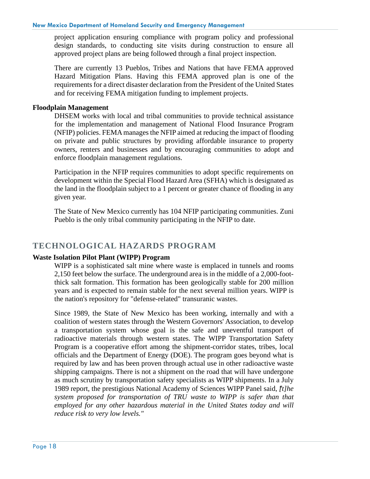project application ensuring compliance with program policy and professional design standards, to conducting site visits during construction to ensure all approved project plans are being followed through a final project inspection.

There are currently 13 Pueblos, Tribes and Nations that have FEMA approved Hazard Mitigation Plans. Having this FEMA approved plan is one of the requirements for a direct disaster declaration from the President of the United States and for receiving FEMA mitigation funding to implement projects.

#### **Floodplain Management**

DHSEM works with local and tribal communities to provide technical assistance for the implementation and management of National Flood Insurance Program (NFIP) policies. FEMAmanages the NFIP aimed at reducing the impact of flooding on private and public structures by providing affordable insurance to property owners, renters and businesses and by encouraging communities to adopt and enforce floodplain management regulations.

Participation in the NFIP requires communities to adopt specific requirements on development within the Special Flood Hazard Area (SFHA) which is designated as the land in the floodplain subject to a 1 percent or greater chance of flooding in any given year.

The State of New Mexico currently has 104 NFIP participating communities. Zuni Pueblo is the only tribal community participating in the NFIP to date.

# <span id="page-18-0"></span>**TECHNOLOGICAL HAZARDS PROGRAM**

#### **Waste Isolation Pilot Plant (WIPP) Program**

WIPP is a sophisticated salt mine where waste is emplaced in tunnels and rooms 2,150 feet below the surface. The underground area is in the middle of a 2,000-footthick salt formation. This formation has been geologically stable for 200 million years and is expected to remain stable for the next several million years. WIPP is the nation's repository for "defense-related" transuranic wastes.

Since 1989, the State of New Mexico has been working, internally and with a coalition of western states through the Western Governors' Association, to develop a transportation system whose goal is the safe and uneventful transport of radioactive materials through western states. The WIPP Transportation Safety Program is a cooperative effort among the shipment-corridor states, tribes, local officials and the Department of Energy (DOE). The program goes beyond what is required by law and has been proven through actual use in other radioactive waste shipping campaigns. There is not a shipment on the road that will have undergone as much scrutiny by transportation safety specialists as WIPP shipments. In a July 1989 report, the prestigious National Academy of Sciences WIPP Panel said, *"[t]he system proposed for transportation of TRU waste to WIPP is safer than that employed for any other hazardous material in the United States today and will reduce risk to very low levels."*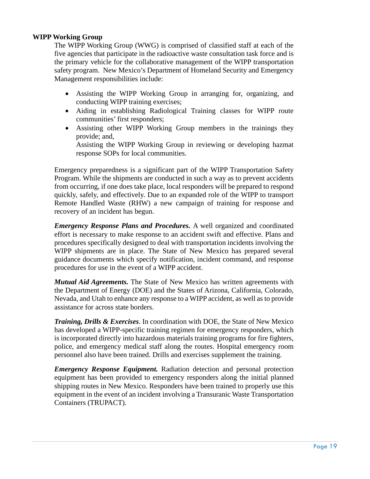#### **WIPP Working Group**

The WIPP Working Group (WWG) is comprised of classified staff at each of the five agencies that participate in the radioactive waste consultation task force and is the primary vehicle for the collaborative management of the WIPP transportation safety program. New Mexico's Department of Homeland Security and Emergency Management responsibilities include:

- Assisting the WIPP Working Group in arranging for, organizing, and conducting WIPP training exercises;
- Aiding in establishing Radiological Training classes for WIPP route communities' first responders;
- Assisting other WIPP Working Group members in the trainings they provide; and,

Assisting the WIPP Working Group in reviewing or developing hazmat response SOPs for local communities.

Emergency preparedness is a significant part of the WIPP Transportation Safety Program. While the shipments are conducted in such a way as to prevent accidents from occurring, if one does take place, local responders will be prepared to respond quickly, safely, and effectively. Due to an expanded role of the WIPP to transport Remote Handled Waste (RHW) a new campaign of training for response and recovery of an incident has begun.

*Emergency Response Plans and Procedures.* A well organized and coordinated effort is necessary to make response to an accident swift and effective. Plans and procedures specifically designed to deal with transportation incidents involving the WIPP shipments are in place. The State of New Mexico has prepared several guidance documents which specify notification, incident command, and response procedures for use in the event of a WIPP accident.

*Mutual Aid Agreements.* The State of New Mexico has written agreements with the Department of Energy (DOE) and the States of Arizona, California, Colorado, Nevada, and Utah to enhance any response to a WIPP accident, as well as to provide assistance for across state borders.

*Training, Drills & Exercises.* In coordination with DOE, the State of New Mexico has developed a WIPP-specific training regimen for emergency responders, which is incorporated directly into hazardous materials training programs for fire fighters, police, and emergency medical staff along the routes. Hospital emergency room personnel also have been trained. Drills and exercises supplement the training.

*Emergency Response Equipment.* Radiation detection and personal protection equipment has been provided to emergency responders along the initial planned shipping routes in New Mexico. Responders have been trained to properly use this equipment in the event of an incident involving a Transuranic Waste Transportation Containers (TRUPACT).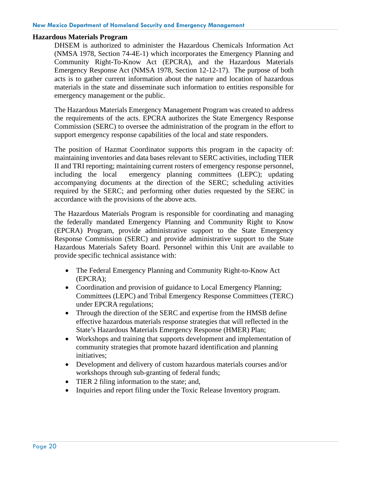#### **Hazardous Materials Program**

DHSEM is authorized to administer the Hazardous Chemicals Information Act (NMSA 1978, Section 74-4E-1) which incorporates the Emergency Planning and Community Right-To-Know Act (EPCRA), and the Hazardous Materials Emergency Response Act (NMSA 1978, Section 12-12-17). The purpose of both acts is to gather current information about the nature and location of hazardous materials in the state and disseminate such information to entities responsible for emergency management or the public.

The Hazardous Materials Emergency Management Program was created to address the requirements of the acts. EPCRA authorizes the State Emergency Response Commission (SERC) to oversee the administration of the program in the effort to support emergency response capabilities of the local and state responders.

The position of Hazmat Coordinator supports this program in the capacity of: maintaining inventories and data bases relevant to SERC activities, including TIER II and TRI reporting; maintaining current rosters of emergency response personnel, including the local emergency planning committees (LEPC); updating accompanying documents at the direction of the SERC; scheduling activities required by the SERC; and performing other duties requested by the SERC in accordance with the provisions of the above acts.

The Hazardous Materials Program is responsible for coordinating and managing the federally mandated Emergency Planning and Community Right to Know (EPCRA) Program, provide administrative support to the State Emergency Response Commission (SERC) and provide administrative support to the State Hazardous Materials Safety Board. Personnel within this Unit are available to provide specific technical assistance with:

- The Federal Emergency Planning and Community Right-to-Know Act (EPCRA);
- Coordination and provision of guidance to Local Emergency Planning; Committees (LEPC) and Tribal Emergency Response Committees (TERC) under EPCRA regulations;
- Through the direction of the SERC and expertise from the HMSB define effective hazardous materials response strategies that will reflected in the State's Hazardous Materials Emergency Response (HMER) Plan;
- Workshops and training that supports development and implementation of community strategies that promote hazard identification and planning initiatives;
- Development and delivery of custom hazardous materials courses and/or workshops through sub-granting of federal funds;
- TIER 2 filing information to the state; and,
- Inquiries and report filing under the Toxic Release Inventory program.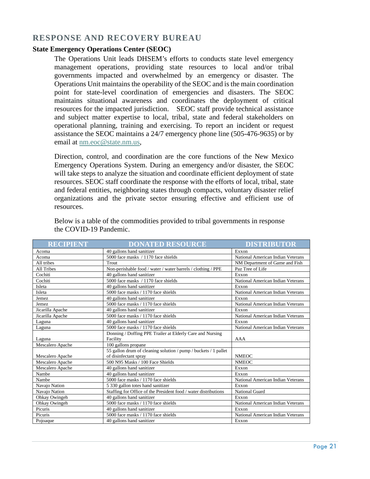# <span id="page-21-0"></span>**RESPONSE AND RECOVERY BUREAU**

#### **State Emergency Operations Center (SEOC)**

The Operations Unit leads DHSEM's efforts to conducts state level emergency management operations, providing state resources to local and/or tribal governments impacted and overwhelmed by an emergency or disaster. The Operations Unit maintains the operability of the SEOC and is the main coordination point for state-level coordination of emergencies and disasters. The SEOC maintains situational awareness and coordinates the deployment of critical resources for the impacted jurisdiction. SEOC staff provide technical assistance and subject matter expertise to local, tribal, state and federal stakeholders on operational planning, training and exercising. To report an incident or request assistance the SEOC maintains a 24/7 emergency phone line (505-476-9635) or by email at [nm.eoc@state.nm.us,](mailto:nm.eoc@state.nm.us)

Direction, control, and coordination are the core functions of the New Mexico Emergency Operations System. During an emergency and/or disaster, the SEOC will take steps to analyze the situation and coordinate efficient deployment of state resources. SEOC staff coordinate the response with the efforts of local, tribal, state and federal entities, neighboring states through compacts, voluntary disaster relief organizations and the private sector ensuring effective and efficient use of resources.

| <b>RECIPIENT</b> | <b>DONATED RESOURCE</b>                                         | <b>DISTRIBUTOR</b>                |
|------------------|-----------------------------------------------------------------|-----------------------------------|
| Acoma            | 40 gallons hand sanitizer                                       | Exxon                             |
| Acoma            | 5000 face masks / 1170 face shields                             | National American Indian Veterans |
| All tribes       | Trout                                                           | NM Department of Game and Fish    |
| All Tribes       | Non-perishable food / water / water barrels / clothing / PPE    | Paz Tree of Life                  |
| Cochiti          | 40 gallons hand sanitizer                                       | Exxon                             |
| Cochiti          | 5000 face masks / 1170 face shields                             | National American Indian Veterans |
| Isleta           | 40 gallons hand sanitizer                                       | Exxon                             |
| Isleta           | 5000 face masks / 1170 face shields                             | National American Indian Veterans |
| Jemez            | 40 gallons hand sanitizer                                       | Exxon                             |
| <b>Jemez</b>     | 5000 face masks / 1170 face shields                             | National American Indian Veterans |
| Jicarilla Apache | 40 gallons hand sanitizer                                       | Exxon                             |
| Jicarilla Apache | 5000 face masks / 1170 face shields                             | National American Indian Veterans |
| Laguna           | 40 gallons hand sanitizer                                       | Exxon                             |
| Laguna           | 5000 face masks / 1170 face shields                             | National American Indian Veterans |
|                  | Donning / Doffing PPE Trailer at Elderly Care and Nursing       |                                   |
| Laguna           | Facility                                                        | AAA                               |
| Mescalero Apache | 100 gallons propane                                             |                                   |
|                  | 55 gallon drum of cleaning solution / pump / buckets / 1 pallet |                                   |
| Mescalero Apache | of disinfectant spray                                           | <b>NMEOC</b>                      |
| Mescalero Apache | 500 N95 Masks / 100 Face Shields                                | <b>NMEOC</b>                      |
| Mescalero Apache | 40 gallons hand sanitizer                                       | Exxon                             |
| Nambe            | 40 gallons hand sanitizer                                       | Exxon                             |
| Nambe            | 5000 face masks / 1170 face shields                             | National American Indian Veterans |
| Navajo Nation    | 5 330 gallon totes hand sanitizer                               | Exxon                             |
| Navajo Nation    | Staffing for Office of the President food / water distributions | <b>National Guard</b>             |
| Ohkay Owingeh    | 40 gallons hand sanitizer                                       | Exxon                             |
| Ohkay Owingeh    | 5000 face masks / 1170 face shields                             | National American Indian Veterans |
| Picuris          | 40 gallons hand sanitizer                                       | Exxon                             |
| Picuris          | 5000 face masks / 1170 face shields                             | National American Indian Veterans |
| Pojoaque         | 40 gallons hand sanitizer                                       | Exxon                             |

Below is a table of the commodities provided to tribal governments in response the COVID-19 Pandemic.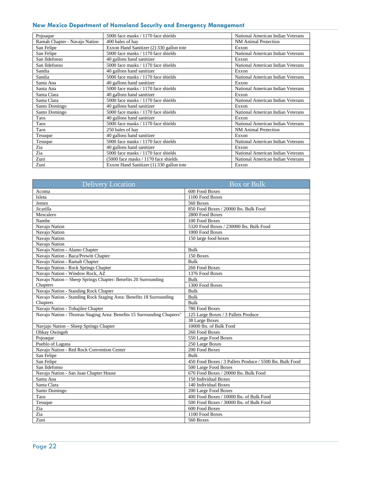| Pojoaque                      | 5000 face masks / 1170 face shields      | National American Indian Veterans |
|-------------------------------|------------------------------------------|-----------------------------------|
| Ramah Chapter - Navajo Nation | 400 bales of hay                         | <b>NM</b> Animal Protection       |
| San Felipe                    | Exxon Hand Sanitizer (2) 330 gallon tote | Exxon                             |
| San Felipe                    | 5000 face masks / 1170 face shields      | National American Indian Veterans |
| San Ildefonso                 | 40 gallons hand sanitizer                | Exxon                             |
| San Ildefonso                 | 5000 face masks / 1170 face shields      | National American Indian Veterans |
| Sandia                        | 40 gallons hand sanitizer                | Exxon                             |
| Sandia                        | 5000 face masks / 1170 face shields      | National American Indian Veterans |
| Santa Ana                     | 40 gallons hand sanitizer                | Exxon                             |
| Santa Ana                     | 5000 face masks / 1170 face shields      | National American Indian Veterans |
| Santa Clara                   | 40 gallons hand sanitizer                | Exxon                             |
| Santa Clara                   | 5000 face masks / 1170 face shields      | National American Indian Veterans |
| Santo Domingo                 | 40 gallons hand sanitizer                | Exxon                             |
| Santo Domingo                 | 5000 face masks / 1170 face shields      | National American Indian Veterans |
| Taos                          | 40 gallons hand sanitizer                | Exxon                             |
| Taos                          | 5000 face masks / 1170 face shields      | National American Indian Veterans |
| Taos                          | 250 bales of hav                         | <b>NM</b> Animal Protection       |
| Tesuque                       | 40 gallons hand sanitizer                | Exxon                             |
| Tesuque                       | 5000 face masks / 1170 face shields      | National American Indian Veterans |
| Zia                           | 40 gallons hand sanitizer                | Exxon                             |
| Zia                           | 5000 face masks / 1170 face shields      | National American Indian Veterans |
| Zuni                          | (5000 face masks / 1170 face shields     | National American Indian Veterans |
| Zuni                          | Exxon Hand Sanitizer (1) 330 gallon tote | Exxon                             |

| <b>Delivery Location</b>                                                | <b>Box</b> or Bulk                                       |
|-------------------------------------------------------------------------|----------------------------------------------------------|
| Acoma                                                                   | 600 Food Boxes                                           |
| Isleta                                                                  | 1100 Food Boxes                                          |
| Jemez                                                                   | 560 Boxes                                                |
| Jicarilla                                                               | 850 Food Boxes / 20000 lbs. Bulk Food                    |
| Mescalero                                                               | 2800 Food Boxes                                          |
| Nambe                                                                   | 100 Food Boxes                                           |
| Navajo Nation                                                           | 5320 Food Boxes / 230000 lbs. Bulk Food                  |
| Navajo Nation                                                           | 1000 Food Boxes                                          |
| Navajo Nation                                                           | 150 large food boxes                                     |
| Navajo Nation                                                           |                                                          |
| Navajo Nation - Alamo Chapter                                           | <b>Bulk</b>                                              |
| Navajo Nation - Baca/Prewitt Chapter                                    | 150 Boxes                                                |
| Navajo Nation - Ramah Chapter                                           | <b>Bulk</b>                                              |
| Navajo Nation - Rock Springs Chapter                                    | 260 Food Boxes                                           |
| Navajo Nation - Window Rock, AZ                                         | 1376 Food Boxes                                          |
| Navajo Nation - Sheep Springs Chapter: Benefits 20 Surrounding          | <b>Bulk</b>                                              |
| Chapters                                                                | 1300 Food Boxes                                          |
| Navajo Nation - Standing Rock Chapter                                   | <b>Bulk</b>                                              |
| Navajo Nation - Standing Rock Staging Area: Benefits 18 Surrounding     | <b>Bulk</b>                                              |
| Chapters                                                                | <b>Bulk</b>                                              |
| Navajo Nation - Tohajilee Chapter                                       | 780 Food Boxes                                           |
| Navajo Nation - Thoreau Staging Area: Benefits 15 Surrounding Chapters" | 125 Large Boxes / 3 Pallets Produce                      |
|                                                                         | 38 Large Boxes                                           |
| Navjajo Nation – Sheep Springs Chapter                                  | 10000 lbs. of Bulk Food                                  |
| Ohkay Owingeh                                                           | 260 Food Boxes                                           |
| Pojoaque                                                                | 550 Large Food Boxes                                     |
| Pueblo of Laguna                                                        | 250 Large Boxes                                          |
| Navajo Nation - Red Rock Convention Center                              | 200 Food Boxes                                           |
| San Felipe                                                              | <b>Bulk</b>                                              |
| San Felipe                                                              | 450 Food Boxes / 3 Pallets Produce / 5500 lbs. Bulk Food |
| San Ildefonso                                                           | 500 Large Food Boxes                                     |
| Navajo Nation - San Juan Chapter House                                  | 670 Food Boxes / 20000 lbs. Bulk Food                    |
| Santa Ana                                                               | 150 Individual Boxes                                     |
| Santa Clara                                                             | 140 Individual Boxes                                     |
| Santo Domingo                                                           | 200 Large Food Boxes                                     |
| Taos                                                                    | 400 Food Boxes / 10000 lbs. of Bulk Food                 |
| Tesuque                                                                 | 500 Food Boxes / 30000 lbs. of Bulk Food                 |
| Zia                                                                     | 600 Food Boxes                                           |
| Zia                                                                     | 1100 Food Boxes                                          |
| Zuni                                                                    | <b>560 Boxes</b>                                         |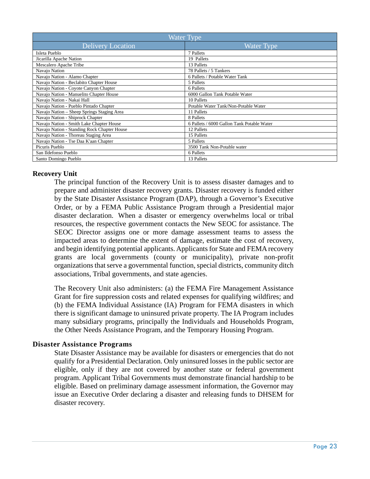| <b>Water Type</b>                           |                                            |  |
|---------------------------------------------|--------------------------------------------|--|
| <b>Delivery Location</b>                    | <b>Water Type</b>                          |  |
| Isleta Pueblo                               | 7 Pallets                                  |  |
| Jicarilla Apache Nation                     | 19 Pallets                                 |  |
| Mescalero Apache Tribe                      | 13 Pallets                                 |  |
| Navajo Nation                               | 78 Pallets / 5 Tankers                     |  |
| Navajo Nation - Alamo Chapter               | 6 Pallets / Potable Water Tank             |  |
| Navajo Nation - Beclabito Chapter House     | 5 Pallets                                  |  |
| Navajo Nation - Coyote Canyon Chapter       | 6 Pallets                                  |  |
| Navajo Nation - Manuelito Chapter House     | 6000 Gallon Tank Potable Water             |  |
| Navajo Nation - Nakai Hall                  | 10 Pallets                                 |  |
| Navajo Nation - Pueblo Pintado Chapter      | Potable Water Tank/Non-Potable Water       |  |
| Navajo Nation – Sheep Springs Staging Area  | 11 Pallets                                 |  |
| Navajo Nation - Shiprock Chapter            | 8 Pallets                                  |  |
| Navajo Nation - Smith Lake Chapter House    | 6 Pallets / 6000 Gallon Tank Potable Water |  |
| Navajo Nation - Standing Rock Chapter House | 12 Pallets                                 |  |
| Navajo Nation - Thoreau Staging Area        | 15 Pallets                                 |  |
| Navajo Nation - Tse Daa K'aan Chapter       | 5 Pallets                                  |  |
| Picuris Pueblo                              | 3500 Tank Non-Potable water                |  |
| San Ildefonso Pueblo                        | 6 Pallets                                  |  |
| Santo Domingo Pueblo                        | 13 Pallets                                 |  |

#### **Recovery Unit**

The principal function of the Recovery Unit is to assess disaster damages and to prepare and administer disaster recovery grants. Disaster recovery is funded either by the State Disaster Assistance Program (DAP), through a Governor's Executive Order, or by a FEMA Public Assistance Program through a Presidential major disaster declaration. When a disaster or emergency overwhelms local or tribal resources, the respective government contacts the New SEOC for assistance. The SEOC Director assigns one or more damage assessment teams to assess the impacted areas to determine the extent of damage, estimate the cost of recovery, and begin identifying potential applicants. Applicants for State and FEMA recovery grants are local governments (county or municipality), private non-profit organizations that serve a governmental function, special districts, community ditch associations, Tribal governments, and state agencies.

The Recovery Unit also administers: (a) the FEMA Fire Management Assistance Grant for fire suppression costs and related expenses for qualifying wildfires; and (b) the FEMA Individual Assistance (IA) Program for FEMA disasters in which there is significant damage to uninsured private property. The IA Program includes many subsidiary programs, principally the Individuals and Households Program, the Other Needs Assistance Program, and the Temporary Housing Program.

#### <span id="page-23-0"></span>**Disaster Assistance Programs**

State Disaster Assistance may be available for disasters or emergencies that do not qualify for a Presidential Declaration. Only uninsured losses in the public sector are eligible, only if they are not covered by another state or federal government program. Applicant Tribal Governments must demonstrate financial hardship to be eligible. Based on preliminary damage assessment information, the Governor may issue an Executive Order declaring a disaster and releasing funds to DHSEM for disaster recovery.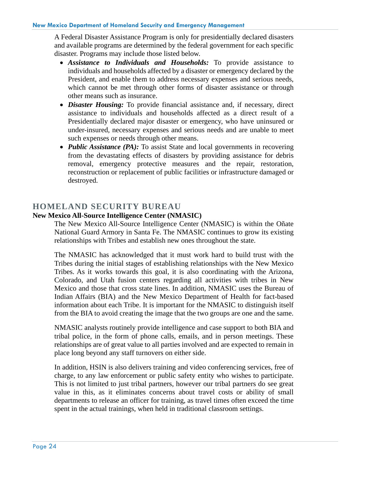A Federal Disaster Assistance Program is only for presidentially declared disasters and available programs are determined by the federal government for each specific disaster. Programs may include those listed below.

- *Assistance to Individuals and Households:* To provide assistance to individuals and households affected by a disaster or emergency declared by the President, and enable them to address necessary expenses and serious needs, which cannot be met through other forms of disaster assistance or through other means such as insurance.
- *Disaster Housing:* To provide financial assistance and, if necessary, direct assistance to individuals and households affected as a direct result of a Presidentially declared major disaster or emergency, who have uninsured or under-insured, necessary expenses and serious needs and are unable to meet such expenses or needs through other means.
- *Public Assistance (PA):* To assist State and local governments in recovering from the devastating effects of disasters by providing assistance for debris removal, emergency protective measures and the repair, restoration, reconstruction or replacement of public facilities or infrastructure damaged or destroyed.

# <span id="page-24-0"></span>**HOMELAND SECURITY BUREAU**

#### **New Mexico All-Source Intelligence Center (NMASIC)**

The New Mexico All-Source Intelligence Center (NMASIC) is within the Oñate National Guard Armory in Santa Fe. The NMASIC continues to grow its existing relationships with Tribes and establish new ones throughout the state.

The NMASIC has acknowledged that it must work hard to build trust with the Tribes during the initial stages of establishing relationships with the New Mexico Tribes. As it works towards this goal, it is also coordinating with the Arizona, Colorado, and Utah fusion centers regarding all activities with tribes in New Mexico and those that cross state lines. In addition, NMASIC uses the Bureau of Indian Affairs (BIA) and the New Mexico Department of Health for fact-based information about each Tribe. It is important for the NMASIC to distinguish itself from the BIA to avoid creating the image that the two groups are one and the same.

NMASIC analysts routinely provide intelligence and case support to both BIA and tribal police, in the form of phone calls, emails, and in person meetings. These relationships are of great value to all parties involved and are expected to remain in place long beyond any staff turnovers on either side.

In addition, HSIN is also delivers training and video conferencing services, free of charge, to any law enforcement or public safety entity who wishes to participate. This is not limited to just tribal partners, however our tribal partners do see great value in this, as it eliminates concerns about travel costs or ability of small departments to release an officer for training, as travel times often exceed the time spent in the actual trainings, when held in traditional classroom settings.